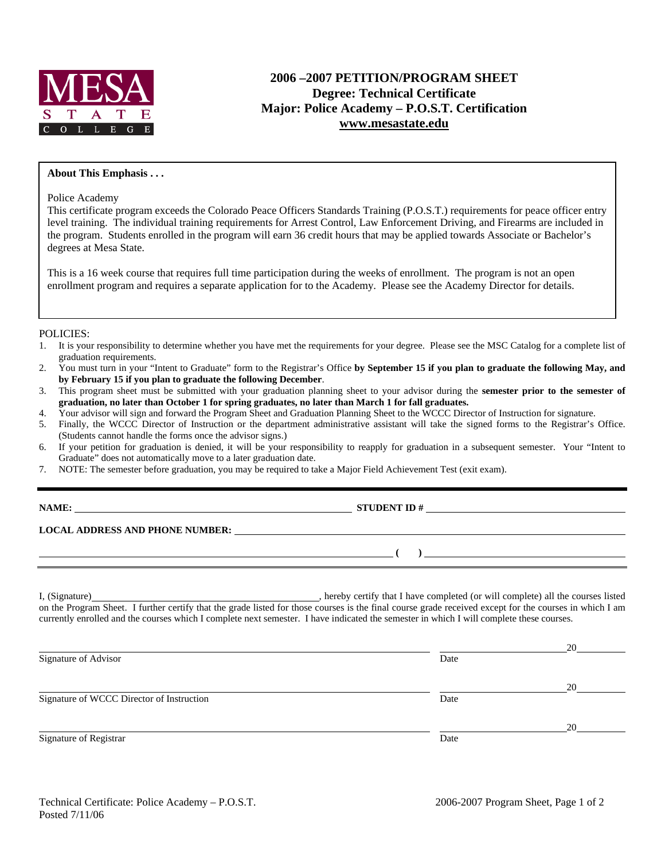

# **2006 –2007 PETITION/PROGRAM SHEET Degree: Technical Certificate Major: Police Academy – P.O.S.T. Certification www.mesastate.edu**

#### **About This Emphasis . . .**

Police Academy

This certificate program exceeds the Colorado Peace Officers Standards Training (P.O.S.T.) requirements for peace officer entry level training. The individual training requirements for Arrest Control, Law Enforcement Driving, and Firearms are included in the program. Students enrolled in the program will earn 36 credit hours that may be applied towards Associate or Bachelor's degrees at Mesa State.

This is a 16 week course that requires full time participation during the weeks of enrollment. The program is not an open enrollment program and requires a separate application for to the Academy. Please see the Academy Director for details.

#### POLICIES:

- 1. It is your responsibility to determine whether you have met the requirements for your degree. Please see the MSC Catalog for a complete list of graduation requirements.
- 2. You must turn in your "Intent to Graduate" form to the Registrar's Office **by September 15 if you plan to graduate the following May, and by February 15 if you plan to graduate the following December**.
- 3. This program sheet must be submitted with your graduation planning sheet to your advisor during the **semester prior to the semester of graduation, no later than October 1 for spring graduates, no later than March 1 for fall graduates.**
- 4. Your advisor will sign and forward the Program Sheet and Graduation Planning Sheet to the WCCC Director of Instruction for signature.
- 5. Finally, the WCCC Director of Instruction or the department administrative assistant will take the signed forms to the Registrar's Office. (Students cannot handle the forms once the advisor signs.)
- 6. If your petition for graduation is denied, it will be your responsibility to reapply for graduation in a subsequent semester. Your "Intent to Graduate" does not automatically move to a later graduation date.
- 7. NOTE: The semester before graduation, you may be required to take a Major Field Achievement Test (exit exam).

|  | ,, | v |  |
|--|----|---|--|
|--|----|---|--|

**NAMES IN STUDENT ID #** 

 **( )** 

#### **LOCAL ADDRESS AND PHONE NUMBER:**

I, (Signature) , hereby certify that I have completed (or will complete) all the courses listed on the Program Sheet. I further certify that the grade listed for those courses is the final course grade received except for the courses in which I am currently enrolled and the courses which I complete next semester. I have indicated the semester in which I will complete these courses.

|                                           |      | 20 |
|-------------------------------------------|------|----|
| Signature of Advisor                      | Date |    |
|                                           |      | 20 |
| Signature of WCCC Director of Instruction | Date |    |
|                                           |      | 20 |
| Signature of Registrar                    | Date |    |